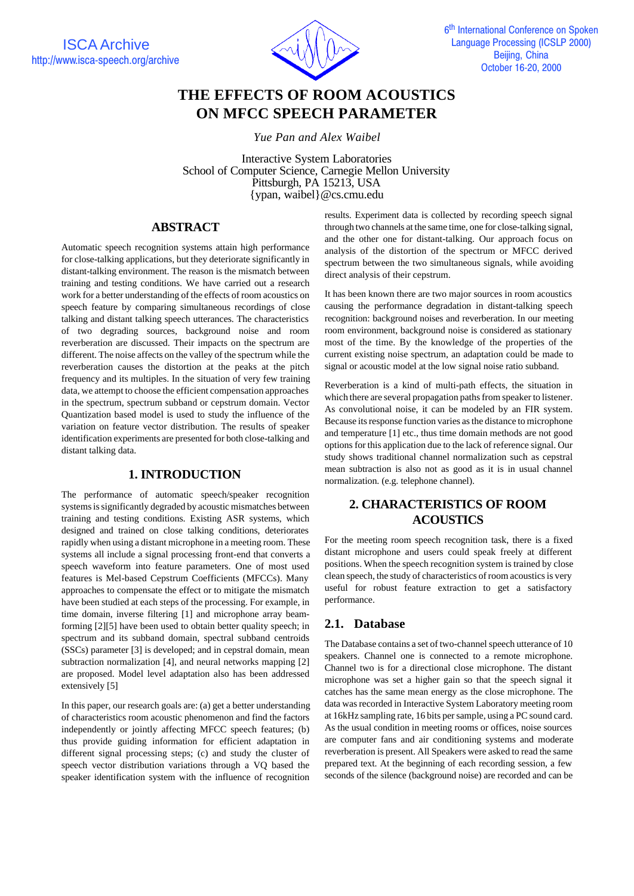

# **THE EFFECTS OF ROOM ACOUSTICS ON MFCC SPEECH PARAMETER**

*Yue Pan and Alex Waibel*

Interactive System Laboratories School of Computer Science, Carnegie Mellon University Pittsburgh, PA 15213, USA {ypan, waibel}@cs.cmu.edu

# **ABSTRACT**

Automatic speech recognition systems attain high performance for close-talking applications, but they deteriorate significantly in distant-talking environment. The reason is the mismatch between training and testing conditions. We have carried out a research work for a better understanding of the effects of room acoustics on speech feature by comparing simultaneous recordings of close talking and distant talking speech utterances. The characteristics of two degrading sources, background noise and room reverberation are discussed. Their impacts on the spectrum are different. The noise affects on the valley of the spectrum while the reverberation causes the distortion at the peaks at the pitch frequency and its multiples. In the situation of very few training data, we attempt to choose the efficient compensation approaches in the spectrum, spectrum subband or cepstrum domain. Vector Quantization based model is used to study the influence of the variation on feature vector distribution. The results of speaker identification experiments are presented for both close-talking and distant talking data.

# **1. INTRODUCTION**

The performance of automatic speech/speaker recognition systems is significantly degraded by acoustic mismatches between training and testing conditions. Existing ASR systems, which designed and trained on close talking conditions, deteriorates rapidly when using a distant microphone in a meeting room. These systems all include a signal processing front-end that converts a speech waveform into feature parameters. One of most used features is Mel-based Cepstrum Coefficients (MFCCs). Many approaches to compensate the effect or to mitigate the mismatch have been studied at each steps of the processing. For example, in time domain, inverse filtering [1] and microphone array beamforming [2][5] have been used to obtain better quality speech; in spectrum and its subband domain, spectral subband centroids (SSCs) parameter [3] is developed; and in cepstral domain, mean subtraction normalization [4], and neural networks mapping [2] are proposed. Model level adaptation also has been addressed extensively [5]

In this paper, our research goals are: (a) get a better understanding of characteristics room acoustic phenomenon and find the factors independently or jointly affecting MFCC speech features; (b) thus provide guiding information for efficient adaptation in different signal processing steps; (c) and study the cluster of speech vector distribution variations through a VQ based the speaker identification system with the influence of recognition

results. Experiment data is collected by recording speech signal through two channels at the same time, one for close-talking signal, and the other one for distant-talking. Our approach focus on analysis of the distortion of the spectrum or MFCC derived spectrum between the two simultaneous signals, while avoiding direct analysis of their cepstrum.

It has been known there are two major sources in room acoustics causing the performance degradation in distant-talking speech recognition: background noises and reverberation. In our meeting room environment, background noise is considered as stationary most of the time. By the knowledge of the properties of the current existing noise spectrum, an adaptation could be made to signal or acoustic model at the low signal noise ratio subband.

Reverberation is a kind of multi-path effects, the situation in which there are several propagation paths from speaker to listener. As convolutional noise, it can be modeled by an FIR system. Because its response function varies as the distance to microphone and temperature [1] etc., thus time domain methods are not good options for this application due to the lack of reference signal. Our study shows traditional channel normalization such as cepstral mean subtraction is also not as good as it is in usual channel normalization. (e.g. telephone channel).

# **2. CHARACTERISTICS OF ROOM ACOUSTICS**

For the meeting room speech recognition task, there is a fixed distant microphone and users could speak freely at different positions. When the speech recognition system is trained by close clean speech, the study of characteristics of room acoustics is very useful for robust feature extraction to get a satisfactory performance.

# **2.1. Database**

The Database contains a set of two-channel speech utterance of 10 speakers. Channel one is connected to a remote microphone. Channel two is for a directional close microphone. The distant microphone was set a higher gain so that the speech signal it catches has the same mean energy as the close microphone. The data was recorded in Interactive System Laboratory meeting room at 16kHz sampling rate, 16 bits per sample, using a PC sound card. As the usual condition in meeting rooms or offices, noise sources are computer fans and air conditioning systems and moderate reverberation is present. All Speakers were asked to read the same prepared text. At the beginning of each recording session, a few seconds of the silence (background noise) are recorded and can be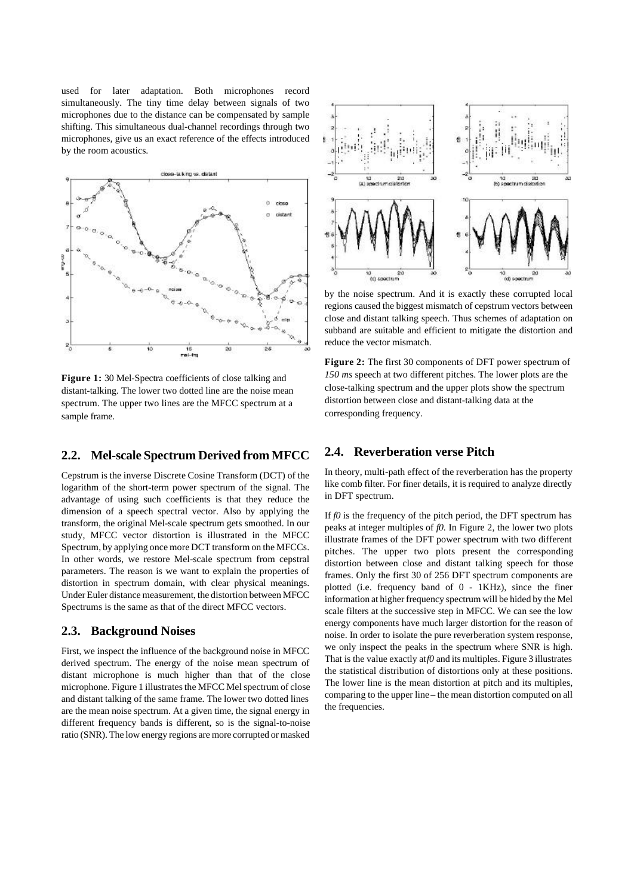used for later adaptation. Both microphones record simultaneously. The tiny time delay between signals of two microphones due to the distance can be compensated by sample shifting. This simultaneous dual-channel recordings through two microphones, give us an exact reference of the effects introduced by the room acoustics.



**Figure 1:** 30 Mel-Spectra coefficients of close talking and distant-talking. The lower two dotted line are the noise mean spectrum. The upper two lines are the MFCC spectrum at a sample frame.

# **2.2. Mel-scale Spectrum Derived from MFCC**

Cepstrum is the inverse Discrete Cosine Transform (DCT) of the logarithm of the short-term power spectrum of the signal. The advantage of using such coefficients is that they reduce the dimension of a speech spectral vector. Also by applying the transform, the original Mel-scale spectrum gets smoothed. In our study, MFCC vector distortion is illustrated in the MFCC Spectrum, by applying once more DCT transform on the MFCCs. In other words, we restore Mel-scale spectrum from cepstral parameters. The reason is we want to explain the properties of distortion in spectrum domain, with clear physical meanings. Under Euler distance measurement, the distortion between MFCC Spectrums is the same as that of the direct MFCC vectors.

#### **2.3. Background Noises**

First, we inspect the influence of the background noise in MFCC derived spectrum. The energy of the noise mean spectrum of distant microphone is much higher than that of the close microphone. Figure 1 illustrates the MFCC Mel spectrum of close and distant talking of the same frame. The lower two dotted lines are the mean noise spectrum. At a given time, the signal energy in different frequency bands is different, so is the signal-to-noise ratio (SNR). The low energy regions are more corrupted or masked



by the noise spectrum. And it is exactly these corrupted local regions caused the biggest mismatch of cepstrum vectors between close and distant talking speech. Thus schemes of adaptation on subband are suitable and efficient to mitigate the distortion and reduce the vector mismatch.

**Figure 2:** The first 30 components of DFT power spectrum of *150 ms* speech at two different pitches. The lower plots are the close-talking spectrum and the upper plots show the spectrum distortion between close and distant-talking data at the corresponding frequency.

#### **2.4. Reverberation verse Pitch**

In theory, multi-path effect of the reverberation has the property like comb filter. For finer details, it is required to analyze directly in DFT spectrum.

If  $f0$  is the frequency of the pitch period, the DFT spectrum has peaks at integer multiples of *f0*. In Figure 2, the lower two plots illustrate frames of the DFT power spectrum with two different pitches. The upper two plots present the corresponding distortion between close and distant talking speech for those frames. Only the first 30 of 256 DFT spectrum components are plotted (i.e. frequency band of 0 - 1KHz), since the finer information at higher frequency spectrum will be hided by the Mel scale filters at the successive step in MFCC. We can see the low energy components have much larger distortion for the reason of noise. In order to isolate the pure reverberation system response, we only inspect the peaks in the spectrum where SNR is high. That is the value exactly at *f0* and its multiples. Figure 3 illustrates the statistical distribution of distortions only at these positions. The lower line is the mean distortion at pitch and its multiples, comparing to the upper line – the mean distortion computed on all the frequencies.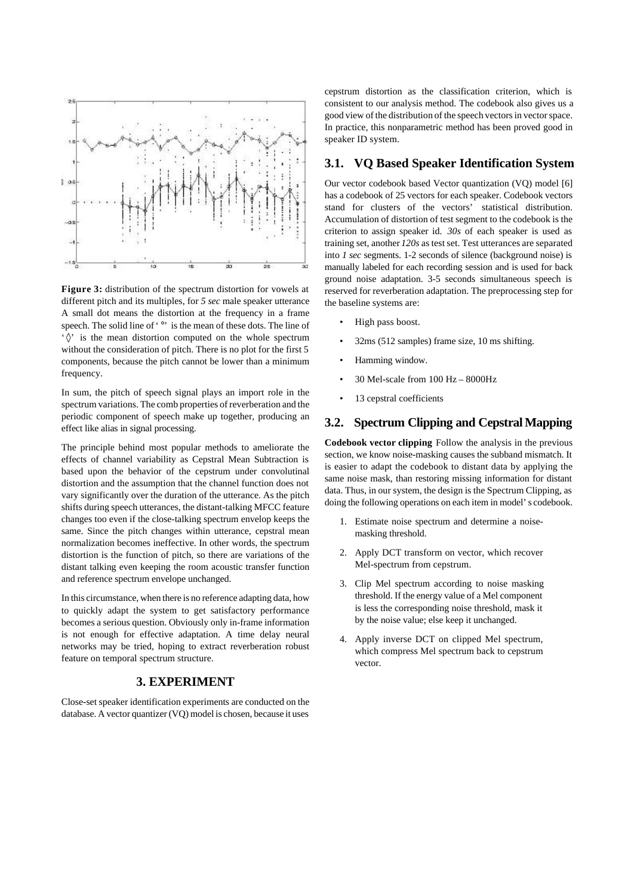

**Figure 3:** distribution of the spectrum distortion for vowels at different pitch and its multiples, for *5 sec* male speaker utterance A small dot means the distortion at the frequency in a frame speech. The solid line of '<sup>o</sup>' is the mean of these dots. The line of '◊' is the mean distortion computed on the whole spectrum without the consideration of pitch. There is no plot for the first 5 components, because the pitch cannot be lower than a minimum frequency.

In sum, the pitch of speech signal plays an import role in the spectrum variations. The comb properties of reverberation and the periodic component of speech make up together, producing an effect like alias in signal processing.

The principle behind most popular methods to ameliorate the effects of channel variability as Cepstral Mean Subtraction is based upon the behavior of the cepstrum under convolutinal distortion and the assumption that the channel function does not vary significantly over the duration of the utterance. As the pitch shifts during speech utterances, the distant-talking MFCC feature changes too even if the close-talking spectrum envelop keeps the same. Since the pitch changes within utterance, cepstral mean normalization becomes ineffective. In other words, the spectrum distortion is the function of pitch, so there are variations of the distant talking even keeping the room acoustic transfer function and reference spectrum envelope unchanged.

In this circumstance, when there is no reference adapting data, how to quickly adapt the system to get satisfactory performance becomes a serious question. Obviously only in-frame information is not enough for effective adaptation. A time delay neural networks may be tried, hoping to extract reverberation robust feature on temporal spectrum structure.

#### **3. EXPERIMENT**

Close-set speaker identification experiments are conducted on the database. A vector quantizer (VQ) model is chosen, because it uses

cepstrum distortion as the classification criterion, which is consistent to our analysis method. The codebook also gives us a good view of the distribution of the speech vectors in vector space. In practice, this nonparametric method has been proved good in speaker ID system.

# **3.1. VQ Based Speaker Identification System**

Our vector codebook based Vector quantization (VQ) model [6] has a codebook of 25 vectors for each speaker. Codebook vectors stand for clusters of the vectors' statistical distribution. Accumulation of distortion of test segment to the codebook is the criterion to assign speaker id. *30s* of each speaker is used as training set, another *120s* as test set. Test utterances are separated into *1 sec* segments. 1-2 seconds of silence (background noise) is manually labeled for each recording session and is used for back ground noise adaptation. 3-5 seconds simultaneous speech is reserved for reverberation adaptation. The preprocessing step for the baseline systems are:

- High pass boost.
- 32ms (512 samples) frame size, 10 ms shifting.
- Hamming window.
- 30 Mel-scale from 100 Hz 8000Hz
- 13 cepstral coefficients

#### **3.2. Spectrum Clipping and Cepstral Mapping**

**Codebook vector clipping** Follow the analysis in the previous section, we know noise-masking causes the subband mismatch. It is easier to adapt the codebook to distant data by applying the same noise mask, than restoring missing information for distant data. Thus, in our system, the design is the Spectrum Clipping, as doing the following operations on each item in model's codebook.

- 1. Estimate noise spectrum and determine a noisemasking threshold.
- 2. Apply DCT transform on vector, which recover Mel-spectrum from cepstrum.
- 3. Clip Mel spectrum according to noise masking threshold. If the energy value of a Mel component is less the corresponding noise threshold, mask it by the noise value; else keep it unchanged.
- 4. Apply inverse DCT on clipped Mel spectrum, which compress Mel spectrum back to cepstrum vector.